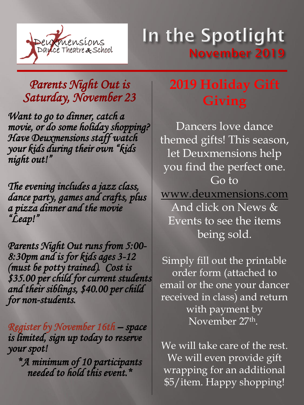

## *Parents Night Out is Saturday, November 23*

*Want to go to dinner, catch a movie, or do some holiday shopping? Have Deuxmensions staff watch your kids during their own "kids night out!"*

*The evening includes a jazz class, dance party, games and crafts, plus a pizza dinner and the movie "Leap!"*

*Parents Night Out runs from 5:00- 8:30pm and is for kids ages 3-12 (must be potty trained). Cost is \$35.00 per child for current students and their siblings, \$40.00 per child for non-students.*

*Register by November 16th – space is limited, sign up today to reserve your spot!*

*\*A minimum of 10 participants needed to hold this event.\**

## **2019 Holiday Gift Giving**

Dancers love dance themed gifts! This season, let Deuxmensions help you find the perfect one. Go to [www.deuxmensions.com](http://www.deuxmensions.com/) And click on News & Events to see the items being sold.

Simply fill out the printable order form (attached to email or the one your dancer received in class) and return with payment by November 27th .

We will take care of the rest. We will even provide gift wrapping for an additional \$5/item. Happy shopping!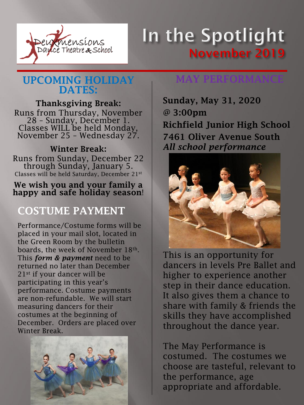

### UPCOMING HOLIDAY DATES:

#### Thanksgiving Break:

Runs from Thursday, November 28 – Sunday, December 1. Classes WILL be held Monday, November 25 – Wednesday 27.

#### Winter Break:

Runs from Sunday, December 22 through Sunday, January 5. Classes will be held Saturday, December 21st

#### We wish you and your family a happy and safe holiday season!

### COSTUME PAYMENT

Performance/Costume forms will be placed in your mail slot, located in the Green Room by the bulletin boards, the week of November 18th. This *form & payment* need to be returned no later than December 21st if your dancer will be participating in this year's performance. Costume payments are non-refundable. We will start measuring dancers for their costumes at the beginning of December. Orders are placed over Winter Break.



### MAY PERFORMANCE

Sunday, May 31, 2020 @ 3:00pm Richfield Junior High School 7461 Oliver Avenue South *All school performance*



This is an opportunity for dancers in levels Pre Ballet and higher to experience another step in their dance education. It also gives them a chance to share with family & friends the skills they have accomplished throughout the dance year.

The May Performance is costumed. The costumes we choose are tasteful, relevant to the performance, age appropriate and affordable.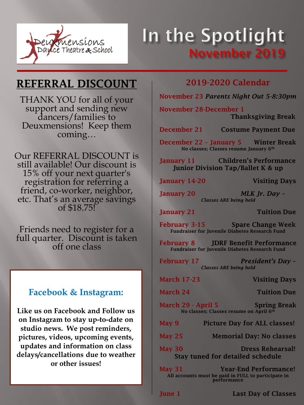

### REFERRAL DISCOUNT

THANK YOU for all of your support and sending new dancers/families to Deuxmensions! Keep them coming…

Our REFERRAL DISCOUNT is still available! Our discount is 15% off your next quarter's registration for referring a friend, co-worker, neighbor, etc. That's an average savings of \$18.75!

Friends need to register for a full quarter. Discount is taken off one class

#### **Facebook & Instagram:**

**Like us on Facebook and Follow us on Instagram to stay up-to-date on studio news. We post reminders, pictures, videos, upcoming events, updates and information on class delays/cancellations due to weather or other issues!**

#### 2019-2020 Calendar

November 23 *Parents Night Out 5-8:30pm*

November 28-December 1 Thanksgiving Break

December 21 Costume Payment Due

December 22 – January 5 Winter Break No classes; Classes resume January 6th

January 11 Children's Performance Junior Division Tap/Ballet K & up

January 14-20 Visiting Days

January 20 *MLK Jr. Day – Classes ARE being held*

January 21 Tuition Due

February 3-15 Spare Change Week Fundraiser for Juvenile Diabetes Research Fund

February 8 JDRF Benefit Performance Fundraiser for Juvenile Diabetes Research Fund

February 17 *President's Day – Classes ARE being held*

| <b>March 17-23</b>                                                                                           | <b>Visiting Days</b>                |
|--------------------------------------------------------------------------------------------------------------|-------------------------------------|
| March 24                                                                                                     | <b>Tuition Due</b>                  |
| March 29 - April 5<br><b>Spring Break</b><br>No classes: Classes resume on April 6th                         |                                     |
| May 9                                                                                                        | <b>Picture Day for ALL classes!</b> |
| <b>May 25</b>                                                                                                | <b>Memorial Day: No classes</b>     |
| <b>Dress Rehearsal!</b><br><b>May 30</b><br><b>Stay tuned for detailed schedule</b>                          |                                     |
| <b>Year-End Performance!</b><br>May 31<br>All accounts must be paid in FULL to participate in<br>performance |                                     |

June 1 **Last Day of Classes**